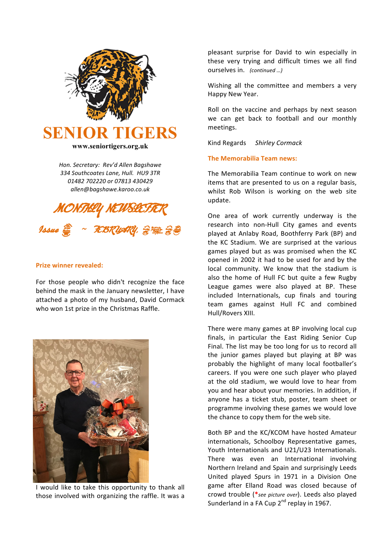

*Hon. Secretary: Rev'd Allen Bagshawe 334 Southcoates Lane, Hull. HU9 3TR 01482 702220 or 07813 430429 allen@bagshawe.karoo.co.uk*



## **Prize winner revealed:**

For those people who didn't recognize the face behind the mask in the January newsletter, I have attached a photo of my husband, David Cormack who won 1st prize in the Christmas Raffle.



I would like to take this opportunity to thank all those involved with organizing the raffle. It was a

pleasant surprise for David to win especially in these very trying and difficult times we all find ourselves in. *(continued …)*

Wishing all the committee and members a very Happy New Year.

Roll on the vaccine and perhaps by next season we can get back to football and our monthly meetings.

Kind Regards *Shirley Cormack*

## **The Memorabilia Team news:**

The Memorabilia Team continue to work on new items that are presented to us on a regular basis, whilst Rob Wilson is working on the web site update.

One area of work currently underway is the research into non-Hull City games and events played at Anlaby Road, Boothferry Park (BP) and the KC Stadium. We are surprised at the various games played but as was promised when the KC opened in 2002 it had to be used for and by the local community. We know that the stadium is also the home of Hull FC but quite a few Rugby League games were also played at BP. These included Internationals, cup finals and touring team games against Hull FC and combined Hull/Rovers XIII.

There were many games at BP involving local cup finals, in particular the East Riding Senior Cup Final. The list may be too long for us to record all the junior games played but playing at BP was probably the highlight of many local footballer's careers. If you were one such player who played at the old stadium, we would love to hear from you and hear about your memories. In addition, if anyone has a ticket stub, poster, team sheet or programme involving these games we would love the chance to copy them for the web site.

Both BP and the KC/KCOM have hosted Amateur internationals, Schoolboy Representative games, Youth Internationals and U21/U23 Internationals. There was even an International involving Northern Ireland and Spain and surprisingly Leeds United played Spurs in 1971 in a Division One game after Elland Road was closed because of crowd trouble (**\****see picture over*). Leeds also played Sunderland in a FA Cup  $2<sup>nd</sup>$  replay in 1967.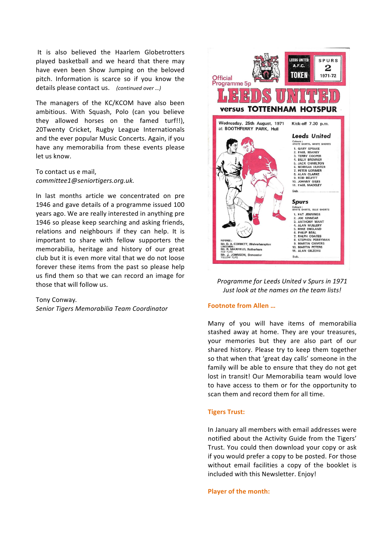It is also believed the Haarlem Globetrotters played basketball and we heard that there may have even been Show Jumping on the beloved pitch. Information is scarce so if you know the details please contact us. (continued over ...)

The managers of the KC/KCOM have also been ambitious. With Squash, Polo (can you believe they allowed horses on the famed turf!!), 20Twenty Cricket, Rugby League Internationals and the ever popular Music Concerts. Again, if you have any memorabilia from these events please let us know.

To contact us e mail. *committee1@seniortigers.org.uk.*

In last months article we concentrated on pre 1946 and gave details of a programme issued 100 years ago. We are really interested in anything pre 1946 so please keep searching and asking friends, relations and neighbours if they can help. It is important to share with fellow supporters the memorabilia, heritage and history of our great club but it is even more vital that we do not loose forever these items from the past so please help us find them so that we can record an image for those that will follow us.

### Tony Conway.

*Senior Tigers Memorabilia Team Coordinator*



*Programme for Leeds United v Spurs in 1971 Just look at the names on the team lists!* 

### **Footnote from Allen** ...

Many of you will have items of memorabilia stashed away at home. They are your treasures, your memories but they are also part of our shared history. Please try to keep them together so that when that 'great day calls' someone in the family will be able to ensure that they do not get lost in transit! Our Memorabilia team would love to have access to them or for the opportunity to scan them and record them for all time.

### **Tigers Trust:**

In January all members with email addresses were notified about the Activity Guide from the Tigers' Trust. You could then download your copy or ask if you would prefer a copy to be posted. For those without email facilities a copy of the booklet is included with this Newsletter. Enjoy!

#### **Player of the month:**